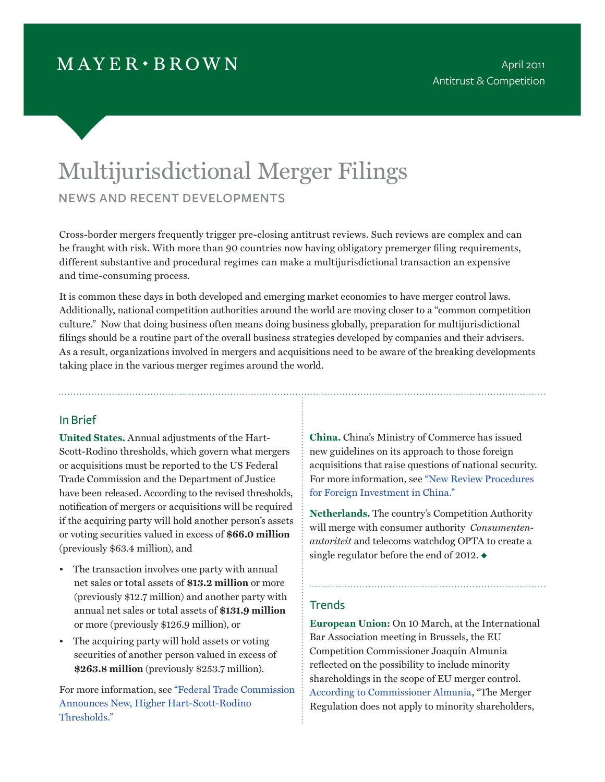# $MAYER \cdot BROWN$

# Multijurisdictional Merger Filings news and recent developments

Cross-border mergers frequently trigger pre-closing antitrust reviews. Such reviews are complex and can be fraught with risk. With more than 90 countries now having obligatory premerger filing requirements, different substantive and procedural regimes can make a multijurisdictional transaction an expensive and time-consuming process.

It is common these days in both developed and emerging market economies to have merger control laws. Additionally, national competition authorities around the world are moving closer to a ''common competition culture." Now that doing business often means doing business globally, preparation for multijurisdictional filings should be a routine part of the overall business strategies developed by companies and their advisers. As a result, organizations involved in mergers and acquisitions need to be aware of the breaking developments taking place in the various merger regimes around the world.

# In Brief

**United States.** Annual adjustments of the Hart-Scott-Rodino thresholds, which govern what mergers or acquisitions must be reported to the US Federal Trade Commission and the Department of Justice have been released. According to the revised thresholds, notification of mergers or acquisitions will be required if the acquiring party will hold another person's assets or voting securities valued in excess of **\$66.0 million** (previously \$63.4 million), and

- The transaction involves one party with annual net sales or total assets of **\$13.2 million** or more (previously \$12.7 million) and another party with annual net sales or total assets of **\$131.9 million** or more (previously \$126.9 million), or
- The acquiring party will hold assets or voting securities of another person valued in excess of **\$263.8 million** (previously \$253.7 million).

For more information, se[e "Federal Trade Commission](http://www.mayerbrown.com/publications/article.asp?id=10732&nid=6�)  [Announces New, Higher Hart-Scott-Rodino](http://www.mayerbrown.com/publications/article.asp?id=10732&nid=6�)  [Thresholds."](http://www.mayerbrown.com/publications/article.asp?id=10732&nid=6�)

**China.** China's Ministry of Commerce has issued new guidelines on its approach to those foreign acquisitions that raise questions of national security. For more information, see ["New Review Procedures](http://www.mayerbrown.com/antitrust/article.asp?id=10450&nid=112)  [for Foreign Investment in China."](http://www.mayerbrown.com/antitrust/article.asp?id=10450&nid=112)

**Netherlands.** The country's Competition Authority will merge with consumer authority *Consumentenautoriteit* and telecoms watchdog OPTA to create a single regulator before the end of 2012.  $\bullet$ 

#### **Trends**

**European Union:** On 10 March, at the International Bar Association meeting in Brussels, the EU Competition Commissioner Joaquín Almunia reflected on the possibility to include minority shareholdings in the scope of EU merger control. [According to Commissioner Almunia,](http://europa.eu/rapid/pressReleasesAction.do?reference=SPEECH/11/166&format=HTML&aged=0&language=EN&guiLanguage=fr) "The Merger Regulation does not apply to minority shareholders,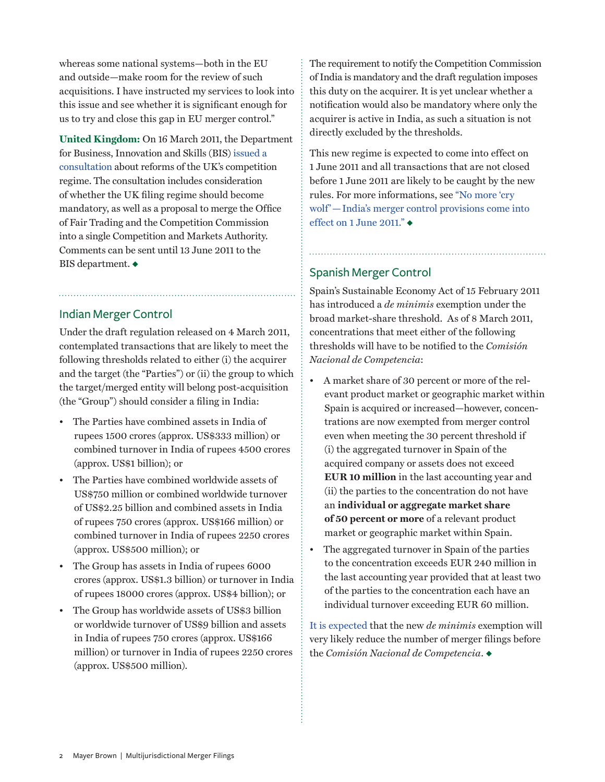whereas some national systems—both in the EU and outside—make room for the review of such acquisitions. I have instructed my services to look into this issue and see whether it is significant enough for us to try and close this gap in EU merger control."

**United Kingdom:** On 16 March 2011, the Department for Business, Innovation and Skills (BIS) [issued a](http://www.bis.gov.uk/assets/biscore/consumer-issues/docs/c/11-657-competition-regime-for-growth-consultation.pdf)  [consultation](http://www.bis.gov.uk/assets/biscore/consumer-issues/docs/c/11-657-competition-regime-for-growth-consultation.pdf) about reforms of the UK's competition regime. The consultation includes consideration of whether the UK filing regime should become mandatory, as well as a proposal to merge the Office of Fair Trading and the Competition Commission into a single Competition and Markets Authority. Comments can be sent until 13 June 2011 to the BIS department.  $\blacklozenge$ 

# Indian Merger Control

Under the draft regulation released on 4 March 2011, contemplated transactions that are likely to meet the following thresholds related to either (i) the acquirer and the target (the "Parties") or (ii) the group to which the target/merged entity will belong post-acquisition (the "Group") should consider a filing in India:

- The Parties have combined assets in India of rupees 1500 crores (approx. US\$333 million) or combined turnover in India of rupees 4500 crores (approx. US\$1 billion); or
- The Parties have combined worldwide assets of US\$750 million or combined worldwide turnover of US\$2.25 billion and combined assets in India of rupees 750 crores (approx. US\$166 million) or combined turnover in India of rupees 2250 crores (approx. US\$500 million); or
- The Group has assets in India of rupees 6000 crores (approx. US\$1.3 billion) or turnover in India of rupees 18000 crores (approx. US\$4 billion); or
- The Group has worldwide assets of US\$3 billion or worldwide turnover of US\$9 billion and assets in India of rupees 750 crores (approx. US\$166 million) or turnover in India of rupees 2250 crores (approx. US\$500 million).

The requirement to notify the Competition Commission of India is mandatory and the draft regulation imposes this duty on the acquirer. It is yet unclear whether a notification would also be mandatory where only the acquirer is active in India, as such a situation is not directly excluded by the thresholds.

This new regime is expected to come into effect on 1 June 2011 and all transactions that are not closed before 1 June 2011 are likely to be caught by the new rules. For more informations, see ["No more 'cry](http://www.mayerbrown.com/antitrust/article.asp?id=10596&nid=112)  [wolf'—India's merger control provisions come into](http://www.mayerbrown.com/antitrust/article.asp?id=10596&nid=112)  [effect on 1 June 2011."](http://www.mayerbrown.com/antitrust/article.asp?id=10596&nid=112) $\triangleleft$ 

# Spanish Merger Control

Spain's Sustainable Economy Act of 15 February 2011 has introduced a *de minimis* exemption under the broad market-share threshold. As of 8 March 2011, concentrations that meet either of the following thresholds will have to be notified to the *Comisión Nacional de Competencia*:

- A market share of 30 percent or more of the relevant product market or geographic market within Spain is acquired or increased—however, concentrations are now exempted from merger control even when meeting the 30 percent threshold if (i) the aggregated turnover in Spain of the acquired company or assets does not exceed **EUR 10 million** in the last accounting year and (ii) the parties to the concentration do not have an **individual or aggregate market share of 50 percent or more** of a relevant product market or geographic market within Spain.
- The aggregated turnover in Spain of the parties to the concentration exceeds EUR 240 million in the last accounting year provided that at least two of the parties to the concentration each have an individual turnover exceeding EUR 60 million.

[It is expected](http://www.cncompetencia.es/Default.aspx?TabId=105&Contentid=311537&Pag=1) that the new *de minimis* exemption will very likely reduce the number of merger filings before the *Comisión Nacional de Competencia*.  $\bullet$